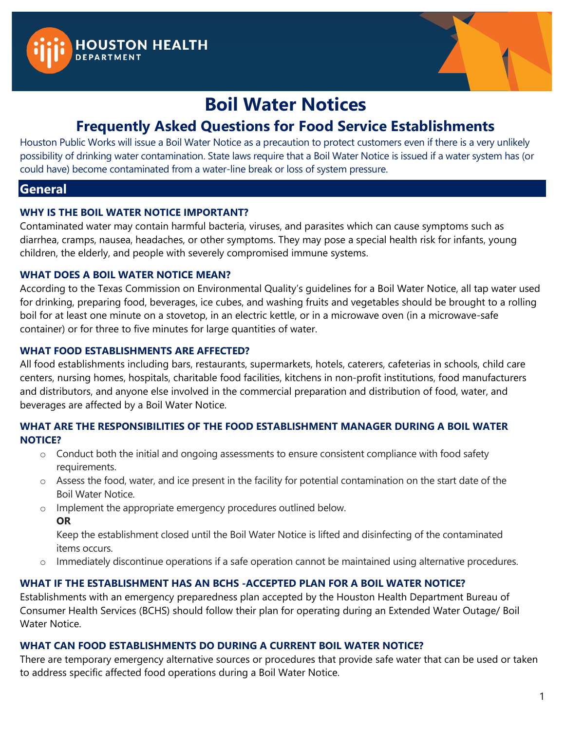



# **Boil Water Notices**

# **Frequently Asked Questions for Food Service Establishments**

Houston Public Works will issue a Boil Water Notice as a precaution to protect customers even if there is a very unlikely possibility of drinking water contamination. State laws require that a Boil Water Notice is issued if a water system has (or could have) become contaminated from a water-line break or loss of system pressure.

### **General**

#### **WHY IS THE BOIL WATER NOTICE IMPORTANT?**

Contaminated water may contain harmful bacteria, viruses, and parasites which can cause symptoms such as diarrhea, cramps, nausea, headaches, or other symptoms. They may pose a special health risk for infants, young children, the elderly, and people with severely compromised immune systems.

#### **WHAT DOES A BOIL WATER NOTICE MEAN?**

According to the Texas Commission on Environmental Quality's guidelines for a Boil Water Notice, all tap water used for drinking, preparing food, beverages, ice cubes, and washing fruits and vegetables should be brought to a rolling boil for at least one minute on a stovetop, in an electric kettle, or in a microwave oven (in a microwave-safe container) or for three to five minutes for large quantities of water.

#### **WHAT FOOD ESTABLISHMENTS ARE AFFECTED?**

All food establishments including bars, restaurants, supermarkets, hotels, caterers, cafeterias in schools, child care centers, nursing homes, hospitals, charitable food facilities, kitchens in non-profit institutions, food manufacturers and distributors, and anyone else involved in the commercial preparation and distribution of food, water, and beverages are affected by a Boil Water Notice.

#### **WHAT ARE THE RESPONSIBILITIES OF THE FOOD ESTABLISHMENT MANAGER DURING A BOIL WATER NOTICE?**

- o Conduct both the initial and ongoing assessments to ensure consistent compliance with food safety requirements.
- $\circ$  Assess the food, water, and ice present in the facility for potential contamination on the start date of the Boil Water Notice.
- o Implement the appropriate emergency procedures outlined below.
	- **OR**

Keep the establishment closed until the Boil Water Notice is lifted and disinfecting of the contaminated items occurs.

o Immediately discontinue operations if a safe operation cannot be maintained using alternative procedures.

### **WHAT IF THE ESTABLISHMENT HAS AN BCHS -ACCEPTED PLAN FOR A BOIL WATER NOTICE?**

Establishments with an emergency preparedness plan accepted by the Houston Health Department Bureau of Consumer Health Services (BCHS) should follow their plan for operating during an Extended Water Outage/ Boil Water Notice.

#### **WHAT CAN FOOD ESTABLISHMENTS DO DURING A CURRENT BOIL WATER NOTICE?**

There are temporary emergency alternative sources or procedures that provide safe water that can be used or taken to address specific affected food operations during a Boil Water Notice.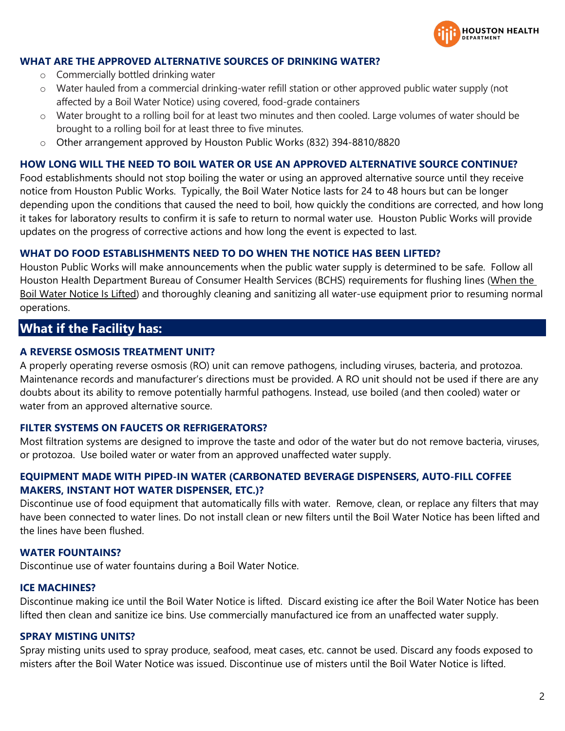

#### **WHAT ARE THE APPROVED ALTERNATIVE SOURCES OF DRINKING WATER?**

- o Commercially bottled drinking water
- o Water hauled from a commercial drinking-water refill station or other approved public water supply (not affected by a Boil Water Notice) using covered, food-grade containers
- $\circ$  Water brought to a rolling boil for at least two minutes and then cooled. Large volumes of water should be brought to a rolling boil for at least three to five minutes.
- o Other arrangement approved by Houston Public Works (832) 394-8810/8820

#### **HOW LONG WILL THE NEED TO BOIL WATER OR USE AN APPROVED ALTERNATIVE SOURCE CONTINUE?**

Food establishments should not stop boiling the water or using an approved alternative source until they receive notice from Houston Public Works. Typically, the Boil Water Notice lasts for 24 to 48 hours but can be longer depending upon the conditions that caused the need to boil, how quickly the conditions are corrected, and how long it takes for laboratory results to confirm it is safe to return to normal water use. Houston Public Works will provide updates on the progress of corrective actions and how long the event is expected to last.

#### **WHAT DO FOOD ESTABLISHMENTS NEED TO DO WHEN THE NOTICE HAS BEEN LIFTED?**

Houston Public Works will make announcements when the public water supply is determined to be safe. Follow all Houston Health Department Bureau of Consumer Health Services (BCHS) requirements for flushing lines (When the Boil Water Notice Is Lifted) and thoroughly cleaning and sanitizing all water-use equipment prior to resuming normal operations.

### **What if the Facility has:**

#### **A REVERSE OSMOSIS TREATMENT UNIT?**

A properly operating reverse osmosis (RO) unit can remove pathogens, including viruses, bacteria, and protozoa. Maintenance records and manufacturer's directions must be provided. A RO unit should not be used if there are any doubts about its ability to remove potentially harmful pathogens. Instead, use boiled (and then cooled) water or water from an approved alternative source.

#### **FILTER SYSTEMS ON FAUCETS OR REFRIGERATORS?**

Most filtration systems are designed to improve the taste and odor of the water but do not remove bacteria, viruses, or protozoa. Use boiled water or water from an approved unaffected water supply.

#### **EQUIPMENT MADE WITH PIPED-IN WATER (CARBONATED BEVERAGE DISPENSERS, AUTO-FILL COFFEE MAKERS, INSTANT HOT WATER DISPENSER, ETC.)?**

Discontinue use of food equipment that automatically fills with water. Remove, clean, or replace any filters that may have been connected to water lines. Do not install clean or new filters until the Boil Water Notice has been lifted and the lines have been flushed.

#### **WATER FOUNTAINS?**

Discontinue use of water fountains during a Boil Water Notice.

#### **ICE MACHINES?**

Discontinue making ice until the Boil Water Notice is lifted. Discard existing ice after the Boil Water Notice has been lifted then clean and sanitize ice bins. Use commercially manufactured ice from an unaffected water supply.

#### **SPRAY MISTING UNITS?**

Spray misting units used to spray produce, seafood, meat cases, etc. cannot be used. Discard any foods exposed to misters after the Boil Water Notice was issued. Discontinue use of misters until the Boil Water Notice is lifted.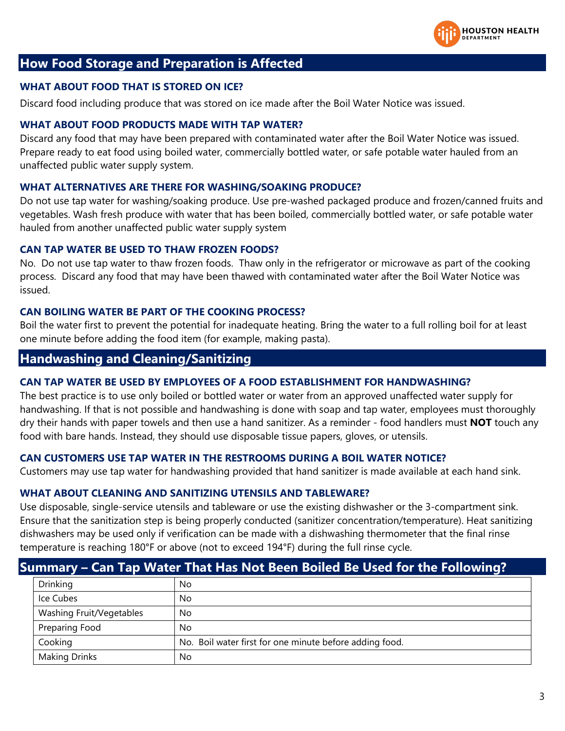

### **How Food Storage and Preparation is Affected**

#### **WHAT ABOUT FOOD THAT IS STORED ON ICE?**

Discard food including produce that was stored on ice made after the Boil Water Notice was issued.

#### **WHAT ABOUT FOOD PRODUCTS MADE WITH TAP WATER?**

Discard any food that may have been prepared with contaminated water after the Boil Water Notice was issued. Prepare ready to eat food using boiled water, commercially bottled water, or safe potable water hauled from an unaffected public water supply system.

#### **WHAT ALTERNATIVES ARE THERE FOR WASHING/SOAKING PRODUCE?**

Do not use tap water for washing/soaking produce. Use pre-washed packaged produce and frozen/canned fruits and vegetables. Wash fresh produce with water that has been boiled, commercially bottled water, or safe potable water hauled from another unaffected public water supply system

#### **CAN TAP WATER BE USED TO THAW FROZEN FOODS?**

No. Do not use tap water to thaw frozen foods. Thaw only in the refrigerator or microwave as part of the cooking process. Discard any food that may have been thawed with contaminated water after the Boil Water Notice was issued.

#### **CAN BOILING WATER BE PART OF THE COOKING PROCESS?**

Boil the water first to prevent the potential for inadequate heating. Bring the water to a full rolling boil for at least one minute before adding the food item (for example, making pasta).

### **Handwashing and Cleaning/Sanitizing**

#### **CAN TAP WATER BE USED BY EMPLOYEES OF A FOOD ESTABLISHMENT FOR HANDWASHING?**

The best practice is to use only boiled or bottled water or water from an approved unaffected water supply for handwashing. If that is not possible and handwashing is done with soap and tap water, employees must thoroughly dry their hands with paper towels and then use a hand sanitizer. As a reminder - food handlers must **NOT** touch any food with bare hands. Instead, they should use disposable tissue papers, gloves, or utensils.

#### **CAN CUSTOMERS USE TAP WATER IN THE RESTROOMS DURING A BOIL WATER NOTICE?**

Customers may use tap water for handwashing provided that hand sanitizer is made available at each hand sink.

#### **WHAT ABOUT CLEANING AND SANITIZING UTENSILS AND TABLEWARE?**

Use disposable, single-service utensils and tableware or use the existing dishwasher or the 3-compartment sink. Ensure that the sanitization step is being properly conducted (sanitizer concentration/temperature). Heat sanitizing dishwashers may be used only if verification can be made with a dishwashing thermometer that the final rinse temperature is reaching 180°F or above (not to exceed 194°F) during the full rinse cycle.

### **Summary – Can Tap Water That Has Not Been Boiled Be Used for the Following?**

| Drinking                 | No                                                      |
|--------------------------|---------------------------------------------------------|
| Ice Cubes                | No                                                      |
| Washing Fruit/Vegetables | No                                                      |
| Preparing Food           | No                                                      |
| Cooking                  | No. Boil water first for one minute before adding food. |
| <b>Making Drinks</b>     | No                                                      |